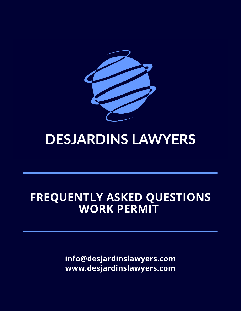

# **DESJARDINS LAWYERS**

# **FREQUENTLY ASKED QUESTIONS WORK PERMIT**

**info@desjardinslawyers.com www.desjardinslawyers.com**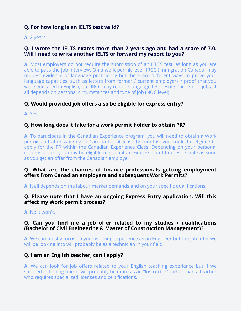# **Q. For how long is an IELTS test valid?**

**A.** 2 years

# **Q. I wrote the IELTS exams more than 2 years ago and had a score of 7.0. Will I need to write another IELTS or forward my report to you?**

**A.** Most employers do not require the submission of an IELTS test, as long as you are able to pass the job interview. On a work permit level, IRCC (Immigration Canada) may request evidence of language proficiency but there are different ways to prove your language capacities, such as letters from former / current employers / proof that you were educated in English, etc. IRCC may require language test results for certain jobs. It all depends on personal circumstances and type of job (NOC level).

# **Q. Would provided job offers also be eligible for express entry?**

**A.** Yes

# **Q. How long does it take for a work permit holder to obtain PR?**

**A.** To participate in the Canadian Experience program, you will need to obtain a Work permit and after working in Canada for at least 12 months, you could be eligible to apply for the PR within the Canadian Experience Class. Depending on your personal circumstances, you may be eligible to submit an Expression of Interest Profile as soon as you get an offer from the Canadian employer.

# **Q. What are the chances of finance professionals getting employment offers from Canadian employers and subsequent Work Permits?**

**A.** It all depends on the labour market demands and on your specific qualifications.

# **Q. Please note that I have an ongoing Express Entry application. Will this affect my Work permit process?**

**A.** No it won't.

# **Q. Can you find me a job offer related to my studies / qualifications (Bachelor of Civil Engineering & Master of Construction Management)?**

**A.** We can mostly focus on your working experience as an Engineer but the job offer we will be looking into will probably be as a technician in your field.

# **Q. I am an English teacher, can I apply?**

**A.** We can look for job offers related to your English teaching experience but if we succeed in finding one, it will probably be more as an "Instructor" rather than a teacher who requires specialized licenses and certifications.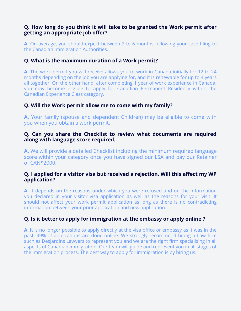# **Q. How long do you think it will take to be granted the Work permit after getting an appropriate job offer?**

**A.** On average, you should expect between 2 to 6 months following your case filing to the Canadian Immigration Authorities.

# **Q. What is the maximum duration of a Work permit?**

**A.** The work permit you will receive allows you to work in Canada initially for 12 to 24 months depending on the job you are applying for, and it is renewable for up to 4 years all together. On the other hand, after completing 1 year of work experience in Canada, you may become eligible to apply for Canadian Permanent Residency within the Canadian Experience Class category.

# **Q. Will the Work permit allow me to come with my family?**

**A.** Your family (spouse and dependent Children) may be eligible to come with you when you obtain a work permit.

#### **Q. Can you share the Checklist to review what documents are required along with language score required.**

**A.** We will provide a detailed Checklist including the minimum required language score within your category once you have signed our LSA and pay our Retainer of CAN\$2000.

#### **Q. I applied for a visitor visa but received a rejection. Will this affect my WP application?**

**A**. It depends on the reasons under which you were refused and on the information you declared in your visitor visa application as well as the reasons for your visit. It should not affect your work permit application as long as there is no contradicting information between your prior application and new application.

# **Q. Is it better to apply for immigration at the embassy or apply online ?**

**A.** It is no longer possible to apply directly at the visa office or embassy as it was in the past. 99% of applications are done online. We strongly recommend hiring a Law firm such as Desjardins Lawyers to represent you and we are the right firm specialising in all aspects of Canadian immigration. Our team will guide and represent you in all stages of the immigration process. The best way to apply for immigration is by hiring us.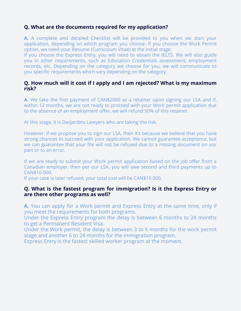# **Q. What are the documents required for my application?**

**A.** A complete and detailed Checklist will be provided to you when we start your application, depending on which program you choose. If you choose the Work Permit option, we need your Resume (Curriculum Vitae) at the initial stage.

If you choose the Express Entry, you will need to obtain the IELTS. We will also guide you in other requirements, such as Education Credentials assessment, employment records, etc. Depending on the category we choose for you, we will communicate to you specific requirements which vary depending on the category.

# **Q. How much will it cost if I apply and I am rejected? What is my maximum risk?**

**A.** We take the first payment of CAN\$2000 as a retainer upon signing our LSA and if, within 12 months, we are not ready to proceed with your Work permit application due to the absence of an employment offer, we will refund 50% of this retainer.

At this stage, it is Desjardins Lawyers who are taking the risk.

However, if we propose you to sign our LSA, then it's because we believe that you have strong chances to succeed with your application. We cannot guarantee acceptance, but we can guarantee that your file will not be refused due to a missing document on our part or to an error.

If we are ready to submit your Work permit application based on the job offer from a Canadian employer, then per our LSA, you will owe second and third payments up to CAN\$10 000.

If your case is later refused, your total cost will be CAN\$10 000.

#### **Q. What is the fastest program for immigration? Is it the Express Entry or are there other programs as well?**

**A.** You can apply for a Work permit and Express Entry at the same time, only if you meet the requirements for both programs.

Under the Express Entry program the delay is between 6 months to 24 months to get a Permanent Resident Visa.

Under the Work permit, the delay is between 3 to 6 months for the work permit stage and another 6 to 24 months for the immigration program.

Express Entry is the fastest skilled worker program at the moment.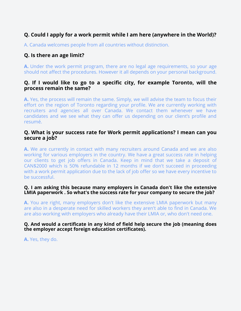# **Q. Could I apply for a work permit while I am here (anywhere in the World)?**

A. Canada welcomes people from all countries without distinction.

# **Q. Is there an age limit?**

**A.** Under the work permit program, there are no legal age requirements, so your age should not affect the procedures. However it all depends on your personal background.

#### **Q. If I would like to go to a specific city, for example Toronto, will the process remain the same?**

**A.** Yes, the process will remain the same. Simply, we will advise the team to focus their effort on the region of Toronto regarding your profile. We are currently working with recruiters and agencies all over Canada. We contact them whenever we have candidates and we see what they can offer us depending on our client's profile and resumé.

#### **Q. What is your success rate for Work permit applications? I mean can you secure a job?**

**A.** We are currently in contact with many recruiters around Canada and we are also working for various employers in the country. We have a great success rate in helping our clients to get job offers in Canada. Keep in mind that we take a deposit of CAN\$2000 which is 50% refundable in 12 months if we don't succeed in proceeding with a work permit application due to the lack of job offer so we have every incentive to be successful.

#### **Q. I am asking this because many employers in Canada don't like the extensive LMIA paperwork . So what's the success rate for your company to secure the job?**

**A.** You are right, many employers don't like the extensive LMIA paperwork but many are also in a desperate need for skilled workers they aren't able to find in Canada. We are also working with employers who already have their LMIA or, who don't need one.

#### **Q. And would a certificate in any kind of field help secure the job (meaning does the employer accept foreign education certificates).**

**A.** Yes, they do.